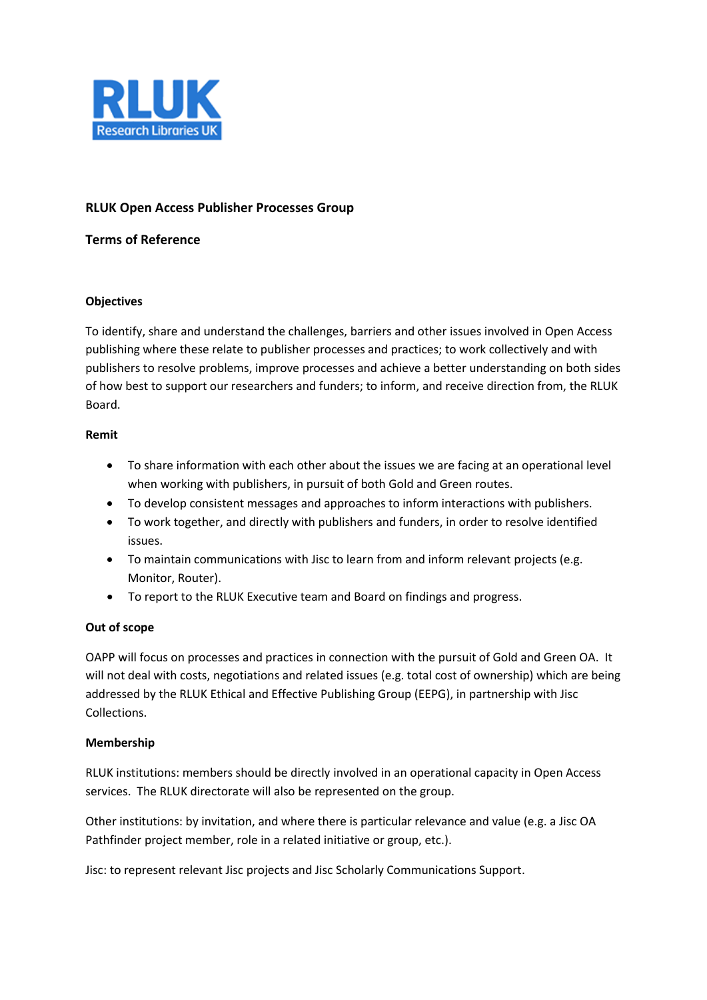

# **RLUK Open Access Publisher Processes Group**

## **Terms of Reference**

## **Objectives**

To identify, share and understand the challenges, barriers and other issues involved in Open Access publishing where these relate to publisher processes and practices; to work collectively and with publishers to resolve problems, improve processes and achieve a better understanding on both sides of how best to support our researchers and funders; to inform, and receive direction from, the RLUK Board.

## **Remit**

- To share information with each other about the issues we are facing at an operational level when working with publishers, in pursuit of both Gold and Green routes.
- To develop consistent messages and approaches to inform interactions with publishers.
- To work together, and directly with publishers and funders, in order to resolve identified issues.
- To maintain communications with Jisc to learn from and inform relevant projects (e.g. Monitor, Router).
- To report to the RLUK Executive team and Board on findings and progress.

# **Out of scope**

OAPP will focus on processes and practices in connection with the pursuit of Gold and Green OA. It will not deal with costs, negotiations and related issues (e.g. total cost of ownership) which are being addressed by the RLUK Ethical and Effective Publishing Group (EEPG), in partnership with Jisc Collections.

# **Membership**

RLUK institutions: members should be directly involved in an operational capacity in Open Access services. The RLUK directorate will also be represented on the group.

Other institutions: by invitation, and where there is particular relevance and value (e.g. a Jisc OA Pathfinder project member, role in a related initiative or group, etc.).

Jisc: to represent relevant Jisc projects and Jisc Scholarly Communications Support.